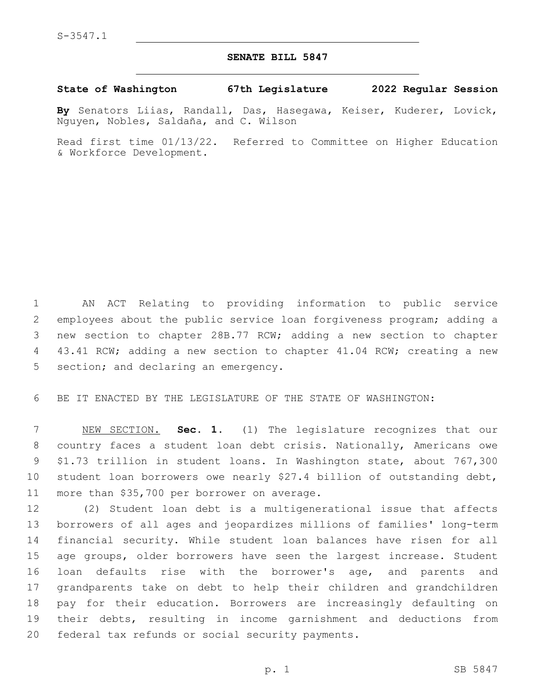## **SENATE BILL 5847**

**State of Washington 67th Legislature 2022 Regular Session**

**By** Senators Liias, Randall, Das, Hasegawa, Keiser, Kuderer, Lovick, Nguyen, Nobles, Saldaña, and C. Wilson

Read first time 01/13/22. Referred to Committee on Higher Education & Workforce Development.

 AN ACT Relating to providing information to public service employees about the public service loan forgiveness program; adding a new section to chapter 28B.77 RCW; adding a new section to chapter 43.41 RCW; adding a new section to chapter 41.04 RCW; creating a new 5 section; and declaring an emergency.

BE IT ENACTED BY THE LEGISLATURE OF THE STATE OF WASHINGTON:

 NEW SECTION. **Sec. 1.** (1) The legislature recognizes that our country faces a student loan debt crisis. Nationally, Americans owe \$1.73 trillion in student loans. In Washington state, about 767,300 student loan borrowers owe nearly \$27.4 billion of outstanding debt, more than \$35,700 per borrower on average.

 (2) Student loan debt is a multigenerational issue that affects borrowers of all ages and jeopardizes millions of families' long-term financial security. While student loan balances have risen for all age groups, older borrowers have seen the largest increase. Student loan defaults rise with the borrower's age, and parents and grandparents take on debt to help their children and grandchildren pay for their education. Borrowers are increasingly defaulting on their debts, resulting in income garnishment and deductions from 20 federal tax refunds or social security payments.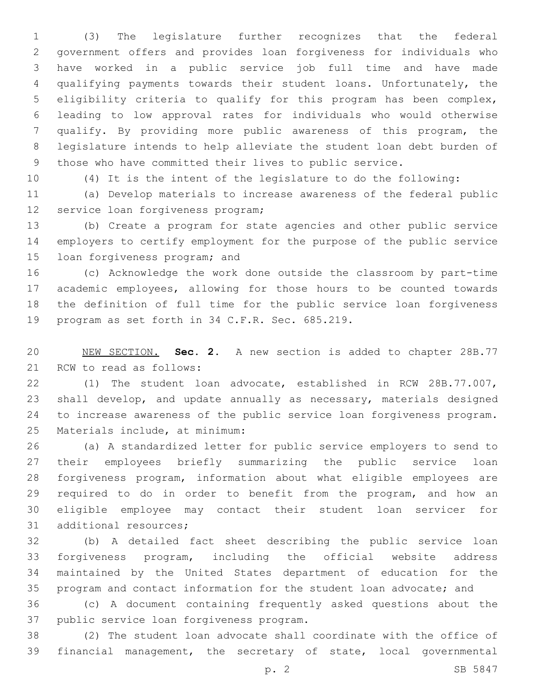(3) The legislature further recognizes that the federal government offers and provides loan forgiveness for individuals who have worked in a public service job full time and have made qualifying payments towards their student loans. Unfortunately, the eligibility criteria to qualify for this program has been complex, leading to low approval rates for individuals who would otherwise qualify. By providing more public awareness of this program, the legislature intends to help alleviate the student loan debt burden of those who have committed their lives to public service.

(4) It is the intent of the legislature to do the following:

 (a) Develop materials to increase awareness of the federal public 12 service loan forgiveness program;

 (b) Create a program for state agencies and other public service employers to certify employment for the purpose of the public service 15 loan forgiveness program; and

 (c) Acknowledge the work done outside the classroom by part-time academic employees, allowing for those hours to be counted towards the definition of full time for the public service loan forgiveness 19 program as set forth in 34 C.F.R. Sec. 685.219.

 NEW SECTION. **Sec. 2.** A new section is added to chapter 28B.77 21 RCW to read as follows:

 (1) The student loan advocate, established in RCW 28B.77.007, shall develop, and update annually as necessary, materials designed to increase awareness of the public service loan forgiveness program. 25 Materials include, at minimum:

 (a) A standardized letter for public service employers to send to their employees briefly summarizing the public service loan forgiveness program, information about what eligible employees are required to do in order to benefit from the program, and how an eligible employee may contact their student loan servicer for 31 additional resources;

 (b) A detailed fact sheet describing the public service loan forgiveness program, including the official website address maintained by the United States department of education for the program and contact information for the student loan advocate; and

 (c) A document containing frequently asked questions about the 37 public service loan forgiveness program.

 (2) The student loan advocate shall coordinate with the office of financial management, the secretary of state, local governmental

p. 2 SB 5847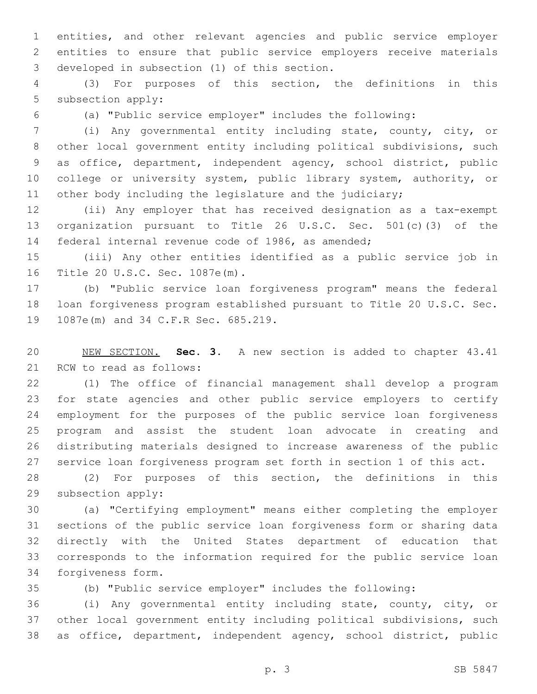entities, and other relevant agencies and public service employer entities to ensure that public service employers receive materials 3 developed in subsection (1) of this section.

 (3) For purposes of this section, the definitions in this 5 subsection apply:

(a) "Public service employer" includes the following:

 (i) Any governmental entity including state, county, city, or other local government entity including political subdivisions, such as office, department, independent agency, school district, public 10 college or university system, public library system, authority, or 11 other body including the legislature and the judiciary;

 (ii) Any employer that has received designation as a tax-exempt organization pursuant to Title 26 U.S.C. Sec. 501(c)(3) of the federal internal revenue code of 1986, as amended;

 (iii) Any other entities identified as a public service job in 16 Title 20 U.S.C. Sec. 1087e(m).

 (b) "Public service loan forgiveness program" means the federal loan forgiveness program established pursuant to Title 20 U.S.C. Sec. 19 1087e(m) and 34 C.F.R Sec. 685.219.

 NEW SECTION. **Sec. 3.** A new section is added to chapter 43.41 21 RCW to read as follows:

 (1) The office of financial management shall develop a program for state agencies and other public service employers to certify employment for the purposes of the public service loan forgiveness program and assist the student loan advocate in creating and distributing materials designed to increase awareness of the public service loan forgiveness program set forth in section 1 of this act.

 (2) For purposes of this section, the definitions in this 29 subsection apply:

 (a) "Certifying employment" means either completing the employer sections of the public service loan forgiveness form or sharing data directly with the United States department of education that corresponds to the information required for the public service loan 34 forgiveness form.

(b) "Public service employer" includes the following:

 (i) Any governmental entity including state, county, city, or other local government entity including political subdivisions, such as office, department, independent agency, school district, public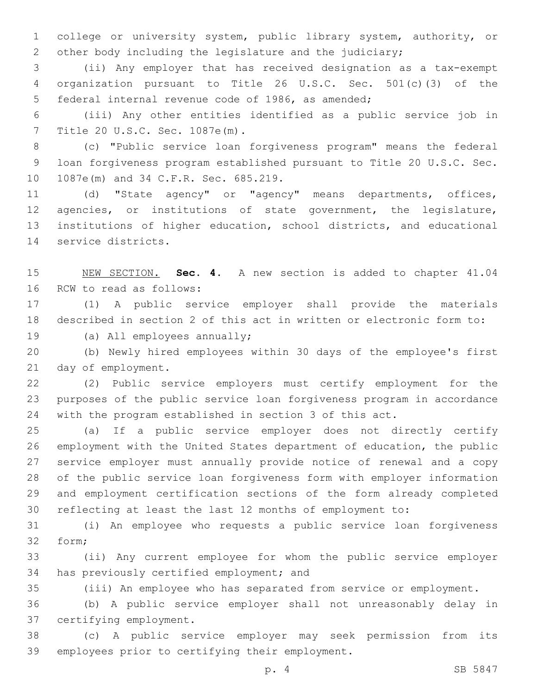college or university system, public library system, authority, or other body including the legislature and the judiciary;

 (ii) Any employer that has received designation as a tax-exempt organization pursuant to Title 26 U.S.C. Sec. 501(c)(3) of the 5 federal internal revenue code of 1986, as amended;

 (iii) Any other entities identified as a public service job in Title 20 U.S.C. Sec. 1087e(m).7

 (c) "Public service loan forgiveness program" means the federal loan forgiveness program established pursuant to Title 20 U.S.C. Sec. 10 1087e(m) and 34 C.F.R. Sec. 685.219.

 (d) "State agency" or "agency" means departments, offices, agencies, or institutions of state government, the legislature, institutions of higher education, school districts, and educational 14 service districts.

 NEW SECTION. **Sec. 4.** A new section is added to chapter 41.04 16 RCW to read as follows:

 (1) A public service employer shall provide the materials described in section 2 of this act in written or electronic form to:

19 (a) All employees annually;

 (b) Newly hired employees within 30 days of the employee's first 21 day of employment.

 (2) Public service employers must certify employment for the purposes of the public service loan forgiveness program in accordance with the program established in section 3 of this act.

 (a) If a public service employer does not directly certify employment with the United States department of education, the public service employer must annually provide notice of renewal and a copy of the public service loan forgiveness form with employer information and employment certification sections of the form already completed reflecting at least the last 12 months of employment to:

 (i) An employee who requests a public service loan forgiveness 32 form:

 (ii) Any current employee for whom the public service employer 34 has previously certified employment; and

(iii) An employee who has separated from service or employment.

 (b) A public service employer shall not unreasonably delay in 37 certifying employment.

 (c) A public service employer may seek permission from its 39 employees prior to certifying their employment.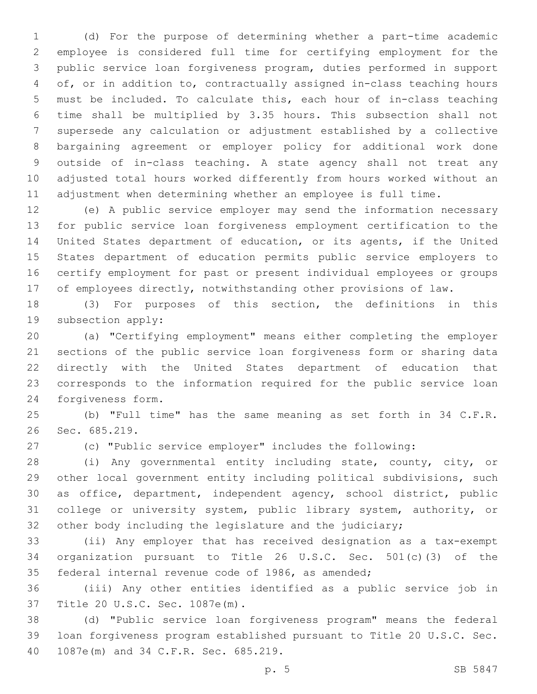(d) For the purpose of determining whether a part-time academic employee is considered full time for certifying employment for the public service loan forgiveness program, duties performed in support of, or in addition to, contractually assigned in-class teaching hours must be included. To calculate this, each hour of in-class teaching time shall be multiplied by 3.35 hours. This subsection shall not supersede any calculation or adjustment established by a collective bargaining agreement or employer policy for additional work done outside of in-class teaching. A state agency shall not treat any adjusted total hours worked differently from hours worked without an adjustment when determining whether an employee is full time.

 (e) A public service employer may send the information necessary for public service loan forgiveness employment certification to the United States department of education, or its agents, if the United States department of education permits public service employers to certify employment for past or present individual employees or groups of employees directly, notwithstanding other provisions of law.

 (3) For purposes of this section, the definitions in this 19 subsection apply:

 (a) "Certifying employment" means either completing the employer sections of the public service loan forgiveness form or sharing data directly with the United States department of education that corresponds to the information required for the public service loan 24 forgiveness form.

 (b) "Full time" has the same meaning as set forth in 34 C.F.R. 26 Sec. 685.219.

(c) "Public service employer" includes the following:

 (i) Any governmental entity including state, county, city, or other local government entity including political subdivisions, such as office, department, independent agency, school district, public college or university system, public library system, authority, or other body including the legislature and the judiciary;

 (ii) Any employer that has received designation as a tax-exempt organization pursuant to Title 26 U.S.C. Sec. 501(c)(3) of the federal internal revenue code of 1986, as amended;

 (iii) Any other entities identified as a public service job in 37 Title 20 U.S.C. Sec. 1087e(m).

 (d) "Public service loan forgiveness program" means the federal loan forgiveness program established pursuant to Title 20 U.S.C. Sec. 40 1087e(m) and 34 C.F.R. Sec. 685.219.